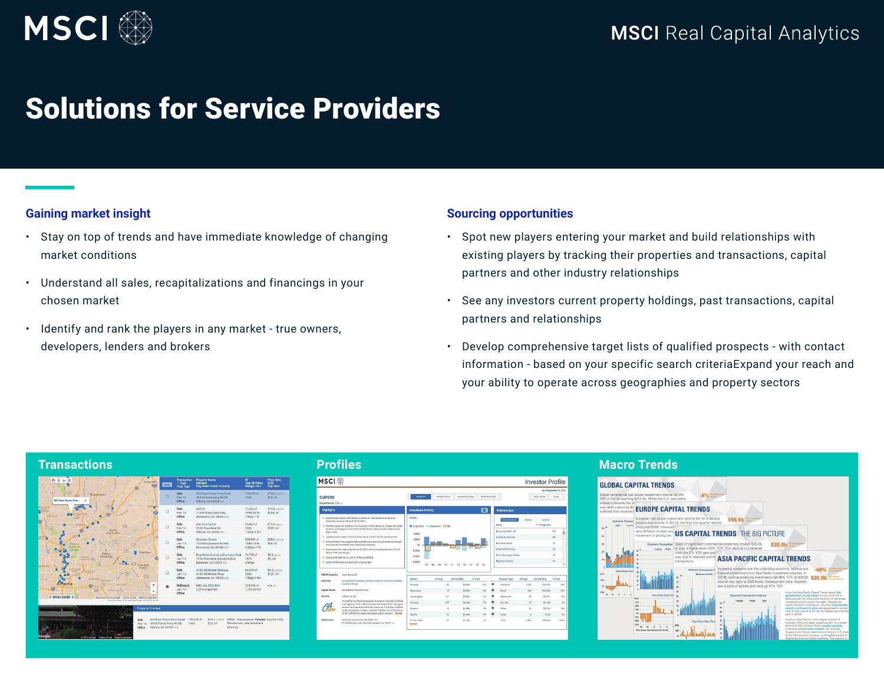

# Solutions for Service Providers

### **Gaining market insight**

- Stay on top of trends and have immediate knowledge of changing market conditions
- Understand all sales, recapitalizations and financings in your chosen market
- Identify and rank the players in any market true owners, developers, lenders and brokers

### **Sourcing opportunities**

- Spot new players entering your market and build relationships with existing players by tracking their properties and transactions, capital partners and other industry relationships
- See any investors current property holdings, past transactions, capital partners and relationships
- Develop comprehensive target lists of qualified prospects with contact information - based on your specific search criteriaExpand your reach and your ability to operate across geographies and property sectors

# **Transactions Profiles Macro Trends**